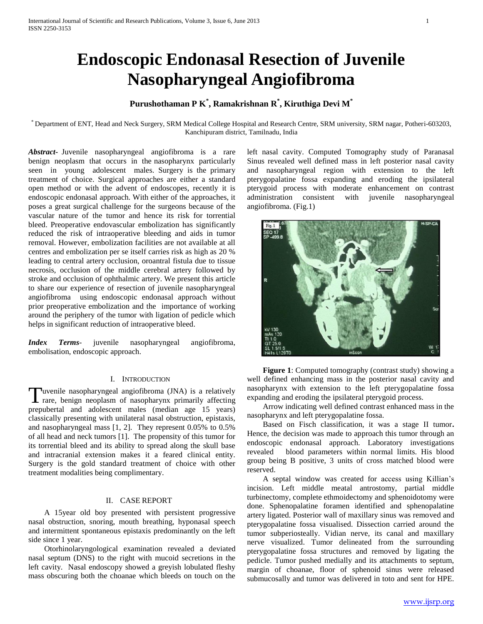# **Endoscopic Endonasal Resection of Juvenile Nasopharyngeal Angiofibroma**

# **Purushothaman P K\* , Ramakrishnan R\* , Kiruthiga Devi M\***

\* Department of ENT, Head and Neck Surgery, SRM Medical College Hospital and Research Centre, SRM university, SRM nagar, Potheri-603203, Kanchipuram district, Tamilnadu, India

*Abstract***-** Juvenile nasopharyngeal angiofibroma is a rare benign neoplasm that occurs in the nasopharynx particularly seen in young adolescent males. Surgery is the primary treatment of choice. Surgical approaches are either a standard open method or with the advent of endoscopes, recently it is endoscopic endonasal approach. With either of the approaches, it poses a great surgical challenge for the surgeons because of the vascular nature of the tumor and hence its risk for torrential bleed. Preoperative endovascular embolization has significantly reduced the risk of intraoperative bleeding and aids in tumor removal. However, embolization facilities are not available at all centres and embolization per se itself carries risk as high as 20 % leading to central artery occlusion, oroantral fistula due to tissue necrosis, occlusion of the middle cerebral artery followed by stroke and occlusion of ophthalmic artery. We present this article to share our experience of resection of juvenile nasopharyngeal angiofibroma using endoscopic endonasal approach without prior preoperative embolization and the importance of working around the periphery of the tumor with ligation of pedicle which helps in significant reduction of intraoperative bleed.

*Index Terms*- juvenile nasopharyngeal angiofibroma, embolisation, endoscopic approach.

### I. INTRODUCTION

uvenile nasopharyngeal angiofibroma (JNA) is a relatively Tuvenile nasopharyngeal angiofibroma (JNA) is a relatively rare, benign neoplasm of nasopharynx primarily affecting prepubertal and adolescent males (median age 15 years) classically presenting with unilateral nasal obstruction, epistaxis, and nasopharyngeal mass [1, 2]. They represent 0.05% to 0.5% of all head and neck tumors [1]. The propensity of this tumor for its torrential bleed and its ability to spread along the skull base and intracranial extension makes it a feared clinical entity. Surgery is the gold standard treatment of choice with other treatment modalities being complimentary.

#### II. CASE REPORT

 A 15year old boy presented with persistent progressive nasal obstruction, snoring, mouth breathing, hyponasal speech and intermittent spontaneous epistaxis predominantly on the left side since 1 year.

 Otorhinolaryngological examination revealed a deviated nasal septum (DNS) to the right with mucoid secretions in the left cavity. Nasal endoscopy showed a greyish lobulated fleshy mass obscuring both the choanae which bleeds on touch on the

left nasal cavity. Computed Tomography study of Paranasal Sinus revealed well defined mass in left posterior nasal cavity and nasopharyngeal region with extension to the left pterygopalatine fossa expanding and eroding the ipsilateral pterygoid process with moderate enhancement on contrast administration consistent with juvenile nasopharyngeal angiofibroma. (Fig.1)



 **Figure 1**: Computed tomography (contrast study) showing a well defined enhancing mass in the posterior nasal cavity and nasopharynx with extension to the left pterygopalatine fossa expanding and eroding the ipsilateral pterygoid process.

 Arrow indicating well defined contrast enhanced mass in the nasopharynx and left pterygopalatine fossa.

 Based on Fisch classification, it was a stage II tumor**.**  Hence, the decision was made to approach this tumor through an endoscopic endonasal approach. Laboratory investigations revealed blood parameters within normal limits. His blood group being B positive, 3 units of cross matched blood were reserved.

 A septal window was created for access using Killian's incision. Left middle meatal antrostomy, partial middle turbinectomy, complete ethmoidectomy and sphenoidotomy were done. Sphenopalatine foramen identified and sphenopalatine artery ligated. Posterior wall of maxillary sinus was removed and pterygopalatine fossa visualised. Dissection carried around the tumor subperiosteally. Vidian nerve, its canal and maxillary nerve visualized. Tumor delineated from the surrounding pterygopalatine fossa structures and removed by ligating the pedicle. Tumor pushed medially and its attachments to septum, margin of choanae, floor of sphenoid sinus were released submucosally and tumor was delivered in toto and sent for HPE.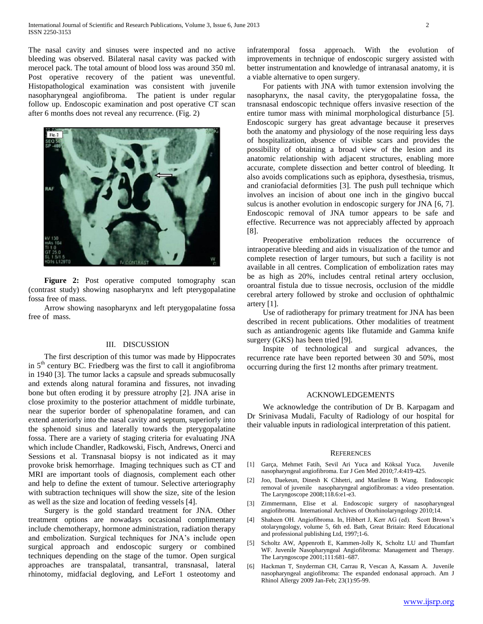The nasal cavity and sinuses were inspected and no active bleeding was observed. Bilateral nasal cavity was packed with merocel pack. The total amount of blood loss was around 350 ml. Post operative recovery of the patient was uneventful. Histopathological examination was consistent with juvenile nasopharyngeal angiofibroma. The patient is under regular follow up. Endoscopic examination and post operative CT scan after 6 months does not reveal any recurrence. (Fig. 2)



Figure 2: Post operative computed tomography scan (contrast study) showing nasopharynx and left pterygopalatine fossa free of mass.

 Arrow showing nasopharynx and left pterygopalatine fossa free of mass.

# III. DISCUSSION

 The first description of this tumor was made by Hippocrates in  $5<sup>th</sup>$  century BC. Friedberg was the first to call it angiofibroma in 1940 [3]. The tumor lacks a capsule and spreads submucosally and extends along natural foramina and fissures, not invading bone but often eroding it by pressure atrophy [2]. JNA arise in close proximity to the posterior attachment of middle turbinate, near the superior border of sphenopalatine foramen, and can extend anteriorly into the nasal cavity and septum, superiorly into the sphenoid sinus and laterally towards the pterygopalatine fossa. There are a variety of staging criteria for evaluating JNA which include Chandler, Radkowski, Fisch, Andrews, Onerci and Sessions et al. Transnasal biopsy is not indicated as it may provoke brisk hemorrhage. Imaging techniques such as CT and MRI are important tools of diagnosis, complement each other and help to define the extent of tumour. Selective arteriography with subtraction techniques will show the size, site of the lesion as well as the size and location of feeding vessels [4].

 Surgery is the gold standard treatment for JNA. Other treatment options are nowadays occasional complimentary include chemotherapy, hormone administration, radiation therapy and embolization. Surgical techniques for JNA's include open surgical approach and endoscopic surgery or combined techniques depending on the stage of the tumor. Open surgical approaches are transpalatal, transantral, transnasal, lateral rhinotomy, midfacial degloving, and LeFort 1 osteotomy and

infratemporal fossa approach. With the evolution of improvements in technique of endoscopic surgery assisted with better instrumentation and knowledge of intranasal anatomy, it is a viable alternative to open surgery.

 For patients with JNA with tumor extension involving the nasopharynx, the nasal cavity, the pterygopalatine fossa, the transnasal endoscopic technique offers invasive resection of the entire tumor mass with minimal morphological disturbance [5]. Endoscopic surgery has great advantage because it preserves both the anatomy and physiology of the nose requiring less days of hospitalization, absence of visible scars and provides the possibility of obtaining a broad view of the lesion and its anatomic relationship with adjacent structures, enabling more accurate, complete dissection and better control of bleeding. It also avoids complications such as epiphora, dysesthesia, trismus, and craniofacial deformities [3]. The push pull technique which involves an incision of about one inch in the gingivo buccal sulcus is another evolution in endoscopic surgery for JNA [6, 7]. Endoscopic removal of JNA tumor appears to be safe and effective. Recurrence was not appreciably affected by approach [8].

 Preoperative embolization reduces the occurrence of intraoperative bleeding and aids in visualization of the tumor and complete resection of larger tumours, but such a facility is not available in all centres. Complication of embolization rates may be as high as 20%, includes central retinal artery occlusion, oroantral fistula due to tissue necrosis, occlusion of the middle cerebral artery followed by stroke and occlusion of ophthalmic artery [1].

 Use of radiotherapy for primary treatment for JNA has been described in recent publications. Other modalities of treatment such as antiandrogenic agents like flutamide and Gamma knife surgery (GKS) has been tried [9].

 Inspite of technological and surgical advances, the recurrence rate have been reported between 30 and 50%, most occurring during the first 12 months after primary treatment.

# ACKNOWLEDGEMENTS

 We acknowledge the contribution of Dr B. Karpagam and Dr Srinivasa Mudali, Faculty of Radiology of our hospital for their valuable inputs in radiological interpretation of this patient.

#### **REFERENCES**

- [1] Garça, Mehmet Fatih, Sevil Ari Yuca and Köksal Yuca. Juvenile nasopharyngeal angiofibroma. Eur J Gen Med 2010;7.4:419-425.
- [2] Joo, Daekeun, Dinesh K Chhetri, and Marilene B Wang. Endoscopic removal of juvenile nasopharyngeal angiofibromas: a video presentation. The Laryngoscope 2008;118.6:e1-e3.
- [3] Zimmermann, Elise et al. Endoscopic surgery of nasopharyngeal angiofibroma. International Archives of Otorhinolaryngology 2010;14.
- [4] Shaheen OH. Angiofibroma. In, Hibbert J, Kerr AG (ed). Scott Brown's otolaryngology, volume 5, 6th ed. Bath, Great Britain: Reed Educational and professional publishing Ltd, 1997;1-6.
- [5] Scholtz AW, Appenroth E, Kammen-Jolly K, Scholtz LU and Thumfart WF. Juvenile Nasopharyngeal Angiofibroma: Management and Therapy. The Laryngoscope 2001;111:681–687.
- [6] Hackman T, Snyderman CH, Carrau R, Vescan A, Kassam A. Juvenile nasopharyngeal angiofibroma: The expanded endonasal approach. Am J Rhinol Allergy 2009 Jan-Feb; 23(1):95-99.